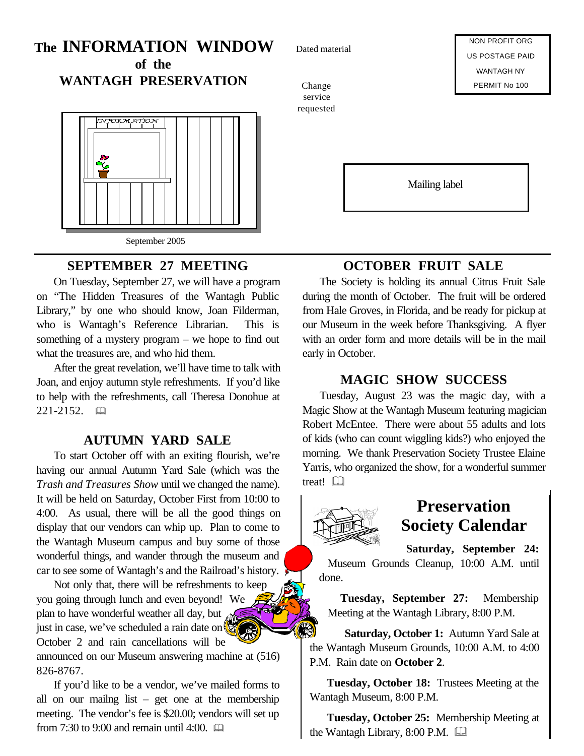## **The INFORMATION WINDOW of the**

**WANTAGH PRESERVATION**



### **SEPTEMBER 27 MEETING**

On Tuesday, September 27, we will have a program on "The Hidden Treasures of the Wantagh Public Library," by one who should know, Joan Filderman, who is Wantagh's Reference Librarian. This is something of a mystery program – we hope to find out what the treasures are, and who hid them.

After the great revelation, we'll have time to talk with Joan, and enjoy autumn style refreshments. If you'd like to help with the refreshments, call Theresa Donohue at 221-2152. 国

### **AUTUMN YARD SALE**

To start October off with an exiting flourish, we're having our annual Autumn Yard Sale (which was the *Trash and Treasures Show* until we changed the name). It will be held on Saturday, October First from 10:00 to 4:00. As usual, there will be all the good things on display that our vendors can whip up. Plan to come to the Wantagh Museum campus and buy some of those wonderful things, and wander through the museum and car to see some of Wantagh's and the Railroad's history.

Not only that, there will be refreshments to keep you going through lunch and even beyond! We plan to have wonderful weather all day, but just in case, we've scheduled a rain date on October 2 and rain cancellations will be announced on our Museum answering machine at (516) 826-8767.

If you'd like to be a vendor, we've mailed forms to all on our mailng list – get one at the membership meeting. The vendor's fee is \$20.00; vendors will set up from 7:30 to 9:00 and remain until 4:00.  $\Box$ 

Dated material

Change service requested

NON PROFIT ORG US POSTAGE PAID WANTAGH NY PERMIT No 100

Mailing label

# **OCTOBER FRUIT SALE**

The Society is holding its annual Citrus Fruit Sale during the month of October. The fruit will be ordered from Hale Groves, in Florida, and be ready for pickup at our Museum in the week before Thanksgiving. A flyer with an order form and more details will be in the mail early in October.

#### **MAGIC SHOW SUCCESS**

Tuesday, August 23 was the magic day, with a Magic Show at the Wantagh Museum featuring magician Robert McEntee. There were about 55 adults and lots of kids (who can count wiggling kids?) who enjoyed the morning. We thank Preservation Society Trustee Elaine Yarris, who organized the show, for a wonderful summer treat! &



# **Preservation Society Calendar**

**Saturday, September 24:** Museum Grounds Cleanup, 10:00 A.M. until done.

**Tuesday, September 27:** Membership Meeting at the Wantagh Library, 8:00 P.M.

**Saturday, October 1:** Autumn Yard Sale at the Wantagh Museum Grounds, 10:00 A.M. to 4:00 P.M. Rain date on **October 2**.

**Tuesday, October 18:** Trustees Meeting at the Wantagh Museum, 8:00 P.M.

**Tuesday, October 25:** Membership Meeting at the Wantagh Library,  $8:00$  P.M.  $\Box$